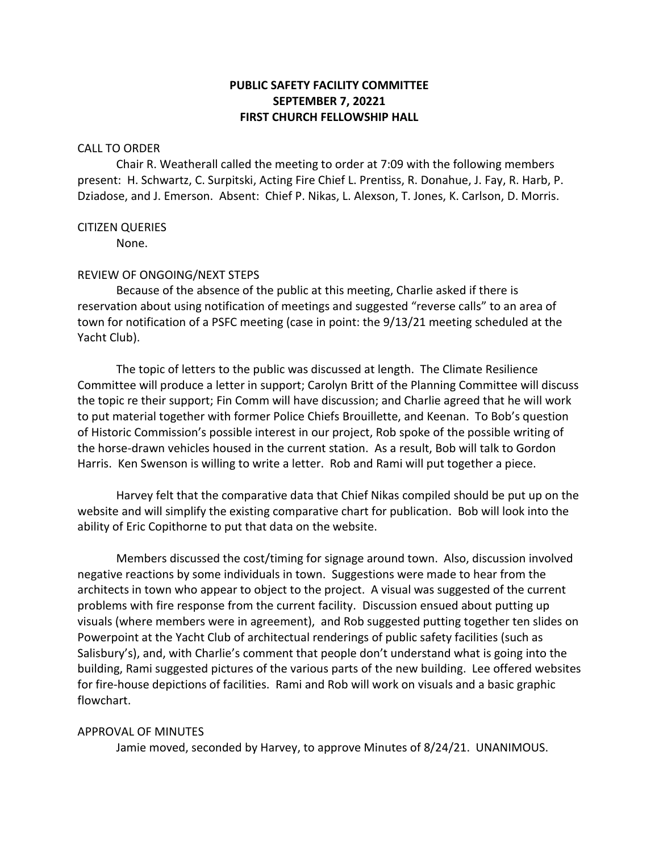## **PUBLIC SAFETY FACILITY COMMITTEE SEPTEMBER 7, 20221 FIRST CHURCH FELLOWSHIP HALL**

### CALL TO ORDER

Chair R. Weatherall called the meeting to order at 7:09 with the following members present: H. Schwartz, C. Surpitski, Acting Fire Chief L. Prentiss, R. Donahue, J. Fay, R. Harb, P. Dziadose, and J. Emerson. Absent: Chief P. Nikas, L. Alexson, T. Jones, K. Carlson, D. Morris.

#### CITIZEN QUERIES

None.

#### REVIEW OF ONGOING/NEXT STEPS

Because of the absence of the public at this meeting, Charlie asked if there is reservation about using notification of meetings and suggested "reverse calls" to an area of town for notification of a PSFC meeting (case in point: the 9/13/21 meeting scheduled at the Yacht Club).

The topic of letters to the public was discussed at length. The Climate Resilience Committee will produce a letter in support; Carolyn Britt of the Planning Committee will discuss the topic re their support; Fin Comm will have discussion; and Charlie agreed that he will work to put material together with former Police Chiefs Brouillette, and Keenan. To Bob's question of Historic Commission's possible interest in our project, Rob spoke of the possible writing of the horse-drawn vehicles housed in the current station. As a result, Bob will talk to Gordon Harris. Ken Swenson is willing to write a letter. Rob and Rami will put together a piece.

Harvey felt that the comparative data that Chief Nikas compiled should be put up on the website and will simplify the existing comparative chart for publication. Bob will look into the ability of Eric Copithorne to put that data on the website.

Members discussed the cost/timing for signage around town. Also, discussion involved negative reactions by some individuals in town. Suggestions were made to hear from the architects in town who appear to object to the project. A visual was suggested of the current problems with fire response from the current facility. Discussion ensued about putting up visuals (where members were in agreement), and Rob suggested putting together ten slides on Powerpoint at the Yacht Club of architectual renderings of public safety facilities (such as Salisbury's), and, with Charlie's comment that people don't understand what is going into the building, Rami suggested pictures of the various parts of the new building. Lee offered websites for fire-house depictions of facilities. Rami and Rob will work on visuals and a basic graphic flowchart.

## APPROVAL OF MINUTES

Jamie moved, seconded by Harvey, to approve Minutes of 8/24/21. UNANIMOUS.